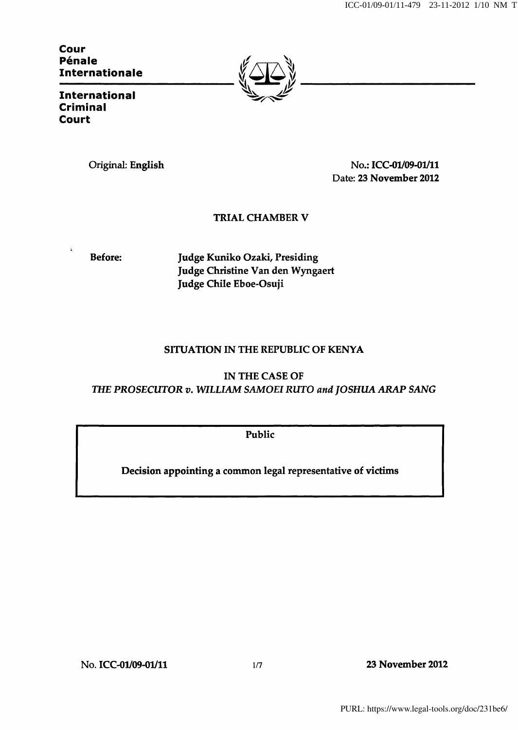Cour Pénale Internationale



**International** Criminal Court

Original: English No.: ICC-01/09-01/11 Date: 23 November 2012

# TRIAL CHAMBER V

Before: Judge Kuniko Ozaki, Presiding Judge Christine Van den Wyngaert Judge Chile Eboe-Osuji

## SITUATION IN THE REPUBLIC OF KENYA

IN THE CASE OF THE PROSECUTOR v. WILLIAM SAMOEI RUTO and JOSHUA ARAP SANG

Public

Decision appointing a common legal representative of victims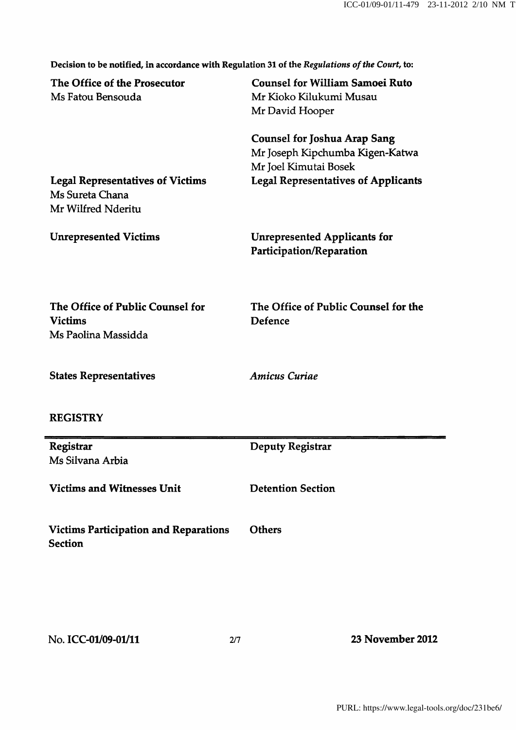Decision to be notified, in accordance with Regulation 31 of the Regulations of the Court, to:

| The Office of the Prosecutor<br>Ms Fatou Bensouda                                | <b>Counsel for William Samoei Ruto</b><br>Mr Kioko Kilukumi Musau<br>Mr David Hooper            |
|----------------------------------------------------------------------------------|-------------------------------------------------------------------------------------------------|
|                                                                                  | <b>Counsel for Joshua Arap Sang</b><br>Mr Joseph Kipchumba Kigen-Katwa<br>Mr Joel Kimutai Bosek |
| <b>Legal Representatives of Victims</b><br>Ms Sureta Chana<br>Mr Wilfred Nderitu | <b>Legal Representatives of Applicants</b>                                                      |
| <b>Unrepresented Victims</b>                                                     | <b>Unrepresented Applicants for</b><br>Participation/Reparation                                 |
| The Office of Public Counsel for<br><b>Victims</b><br>Ms Paolina Massidda        | The Office of Public Counsel for the<br>Defence                                                 |
| <b>States Representatives</b>                                                    | <b>Amicus Curiae</b>                                                                            |
| <b>REGISTRY</b>                                                                  |                                                                                                 |
| Registrar<br>Ms Silvana Arbia                                                    | <b>Deputy Registrar</b>                                                                         |
| <b>Victims and Witnesses Unit</b>                                                | <b>Detention Section</b>                                                                        |
| <b>Victims Participation and Reparations</b><br><b>Section</b>                   | <b>Others</b>                                                                                   |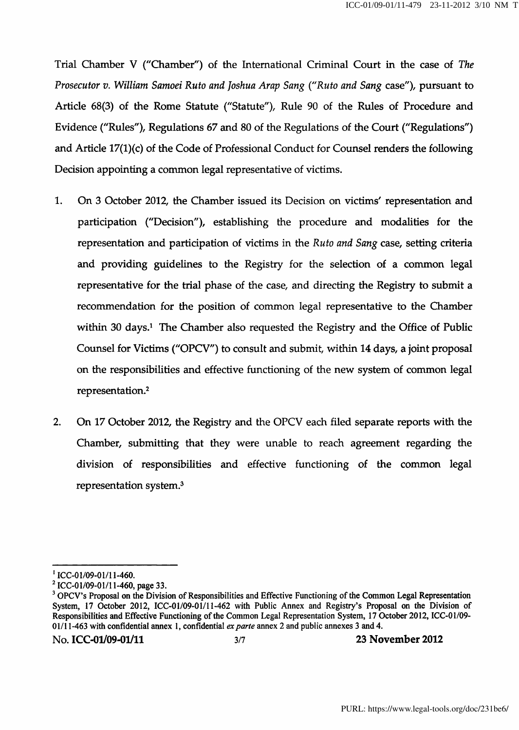Trial Chamber V (''Chamber") of the International Criminal Court in the case of The Prosecutor v. William Samoei Ruto and Joshua Arap Sang {''Ruto and Sang case"), pursuant to Article 68(3) of the Rome Statute ("Statute"), Rule 90 of the Rules of Procedure and Evidence ("Rules"), Regulations 67 and 80 of the Regulations of the Court ("Regulations") and Article 17(l)(c) of the Code of Professional Conduct for Counsel renders the following Decision appointing a common legal representative of victims.

- 1. On 3 October 2012, the Chamber issued its Decision on victims' representation and participation ("Decision"), establishing the procedure and modalities for the representation and participation of victims in the Ruto and Sang case, setting criteria and providing guidelines to the Registry for the selection of a common legal representative for the trial phase of the case, and directing the Registry to submit a recommendation for the position of common legal representative to the Chamber within 30 days.<sup>1</sup> The Chamber also requested the Registry and the Office of Public Counsel for Victims ("OPCV") to consult and submit, within 14 days, a joint proposal on the responsibilities and effective functioning of the new system of common legal representation.<sup>2</sup>
- 2. On 17 October 2012, the Registry and the OPCV each filed separate reports with the Chamber, submitting that they were unable to reach agreement regarding the division of responsibilities and effective functioning of the common legal representation system.<sup>3</sup>

 $^{1}$  ICC-01/09-01/11-460.

 $2$  ICC-01/09-01/11-460, page 33.

 $3$  OPCV's Proposal on the Division of Responsibilities and Effective Functioning of the Common Legal Representation System, 17 October 2012, ICC-01/09-01/11-462 with Public Annex and Registry's Proposal on the Division of Responsibilities and Effective Functioning of the Common Legal Representation System, 17 October 2012, ICC-01/09- 01/11-463 with confidential annex 1, confidential  $ex$  parte annex 2 and public annexes 3 and 4.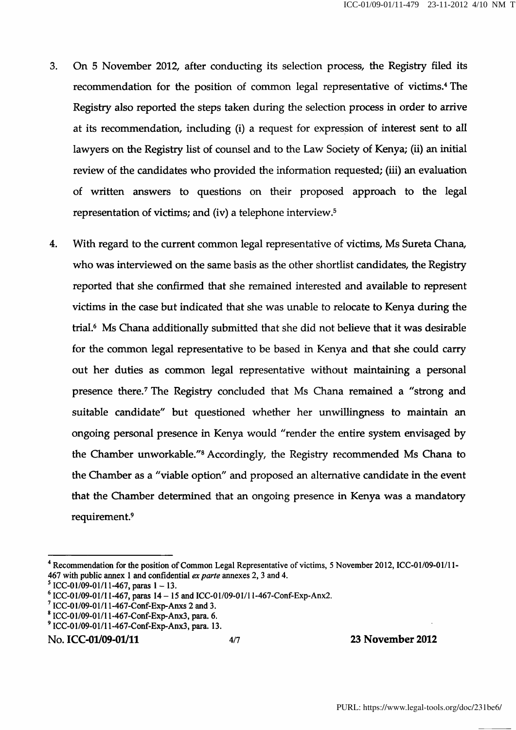- 3. On 5 November 2012, after conducting its selection process, the Registry filed its recommendation for the position of common legal representative of victims.<sup>4</sup> The Registry also reported the steps taken during the selection process in order to arrive at its recommendation, including (i) a request for expression of interest sent to all lawyers on the Registry list of counsel and to the Law Society of Kenya; (ii) an initial review of the candidates who provided the information requested; (iii) an evaluation of written answers to questions on their proposed approach to the legal representation of victims; and (iv) a telephone interview.<sup>5</sup>
- 4. With regard to the current common legal representative of victims, Ms Sureta Ghana, who was interviewed on the same basis as the other shortlist candidates, the Registry reported that she confirmed that she remained interested and available to represent victims in the case but indicated that she was unable to relocate to Kenya during the trial.^ Ms Ghana additionally submitted that she did not beheve that it was desirable for the common legal representative to be based in Kenya and that she could carry out her duties as common legal representative without maintaining a personal presence there.<sup>7</sup> The Registry concluded that Ms Chana remained a "strong and suitable candidate" but questioned whether her unwillingness to maintain an ongoing personal presence in Kenya would "render the entire system envisaged by the Chamber unworkable."<sup>8</sup> Accordingly, the Registry recommended Ms Chana to the Chamber as a "viable option" and proposed an alternative candidate in the event that the Chamber determined that an ongoing presence in Kenya was a mandatory requirement.<sup>9</sup>

## No. ICC-01/09-01/11 4/7 23 November 2012

<sup>&</sup>lt;sup>4</sup> Recommendation for the position of Common Legal Representative of victims, 5 November 2012, ICC-01/09-01/11-467 with public annex 1 and confidential ex parte annexes 2, 3 and 4.

 $^5$  ICC-01/09-01/11-467, paras 1 - 13.

 $^6$  ICC-01/09-01/11-467, paras 14 - 15 and ICC-01/09-01/11-467-Conf-Exp-Anx2.

 $^7$  ICC-01/09-01/11-467-Conf-Exp-Anxs 2 and 3.

 $8$  ICC-01/09-01/11-467-Conf-Exp-Anx3, para. 6.

<sup>^</sup> ICC-01/09-01/1 l-467-Conf-Exp-Anx3, para. 13.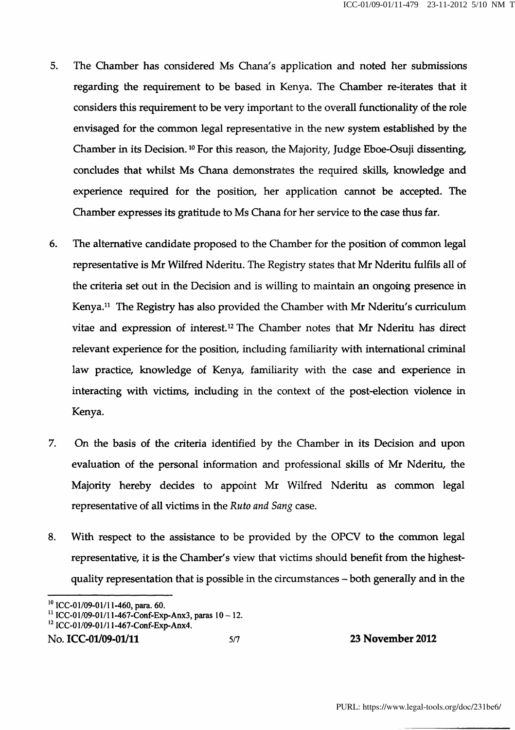- 5. The Chamber has considered Ms Ghana's application and noted her submissions regarding the requirement to be based in Kenya. The Chamber re-iterates that it considers this requirement to be very important to the overall functionality of the role envisaged for the common legal representative in the new system established by the Chamber in its Decision.<sup>10</sup> For this reason, the Majority, Judge Eboe-Osuji dissenting, concludes that whilst Ms Ghana demonstrates the required skills, knowledge and experience required for the position, her application cannot be accepted. The Chamber expresses its gratitude to Ms Ghana for her service to the case thus far.
- 6. The alternative candidate proposed to the Chamber for the position of common legal representative is Mr Wilfred Nderitu. The Registry states that Mr Nderitu fulfils all of the criteria set out in the Decision and is willing to maintain an ongoing presence in Kenya.<sup>11</sup> The Registry has also provided the Chamber with Mr Nderitu's curriculum vitae and expression of interest.<sup>12</sup> The Chamber notes that Mr Nderitu has direct relevant experience for the position, including familiarity with international criminal law practice, knowledge of Kenya, familiarity with the case and experience in interacting with victims, including in the context of the post-election violence in Kenya.
- 7. On the basis of the criteria identified by the Chamber in its Decision and upon evaluation of the personal information and professional skills of Mr Nderitu, the Majority hereby decides to appoint Mr Wilfred Nderitu as common legal representative of all victims in the Ruto and Sang case.
- 8. With respect to the assistance to be provided by the OPCV to the common legal representative, it is the Chamber's view that victims should benefit from the highestquality representation that is possible in the circumstances – both generally and in the

```
No. ICC-01/09-01/11 5/7 5/7 23 November 2012
```
 $^{10}$  ICC-01/09-01/11-460, para. 60.

 $^{11}$  ICC-01/09-01/11-467-Conf-Exp-Anx3, paras 10 - 12.

 $^{12}$  ICC-01/09-01/1 l-467-Conf-Exp-Anx4.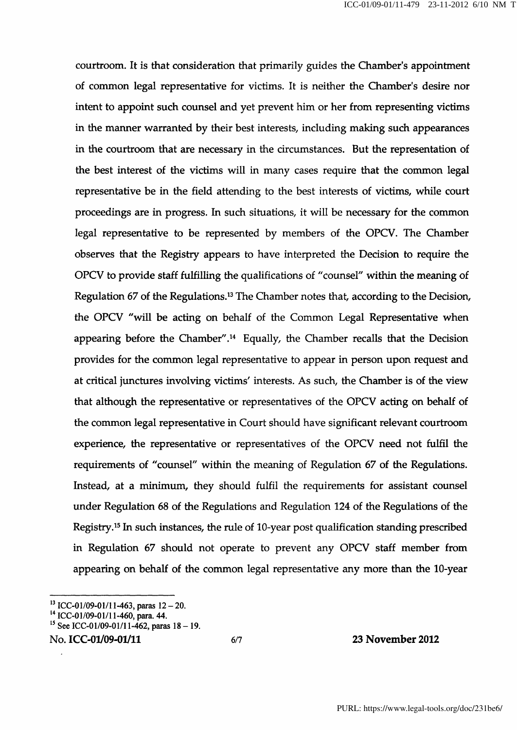courtroom. It is that consideration that primarily guides the Chamber's appointment of common legal representative for victims. It is neither the Chamber's desire nor intent to appoint such counsel and yet prevent him or her from representing victims in the manner warranted by their best interests, including making such appearances in the courtroom that are necessary in the circumstances. But the representation of the best interest of the victims will in many cases require that the common legal representative be in the field attending to the best interests of victims, while court proceedings are in progress. In such situations, it will be necessary for the common legal representative to be represented by members of the OPCV. The Chamber observes that the Registry appears to have interpreted the Decision to require the OPCV to provide staff fulfilling the qualifications of "counsel" within the meaning of Regulation 67 of the Regulations.<sup>13</sup> The Chamber notes that, according to the Decision, the OPCV "will be acting on behalf of the Common Legal Representative when appearing before the Chamber".<sup>14</sup> Equally, the Chamber recalls that the Decision provides for the common legal representative to appear in person upon request and at critical junctures involving victims' interests. As such, the Chamber is of the view that although the representative or representatives of the OPCV acting on behalf of the common legal representative in Court should have significant relevant courtroom experience, the representative or representatives of the OPCV need not fulfil the requirements of "counsel" within the meaning of Regulation 67 of the Regulations. Instead, at a minimum, they should fulfil the requirements for assistant counsel under Regulation 68 of the Regulations and Regulation 124 of the Regulations of the Registry.<sup>15</sup> In such instances, the rule of 10-year post qualification standing prescribed in Regulation 67 should not operate to prevent any OPCV staff member from appearing on behalf of the common legal representative any more than the 10-year

### No. ICC-01/09-01/11 6/7 23 November 2012

<sup>&</sup>lt;sup>13</sup> ICC-01/09-01/11-463, paras 12 - 20.

<sup>&</sup>lt;sup>14</sup> ICC-01/09-01/11-460, para. 44.

<sup>&</sup>lt;sup>15</sup> See ICC-01/09-01/11-462, paras 18 - 19.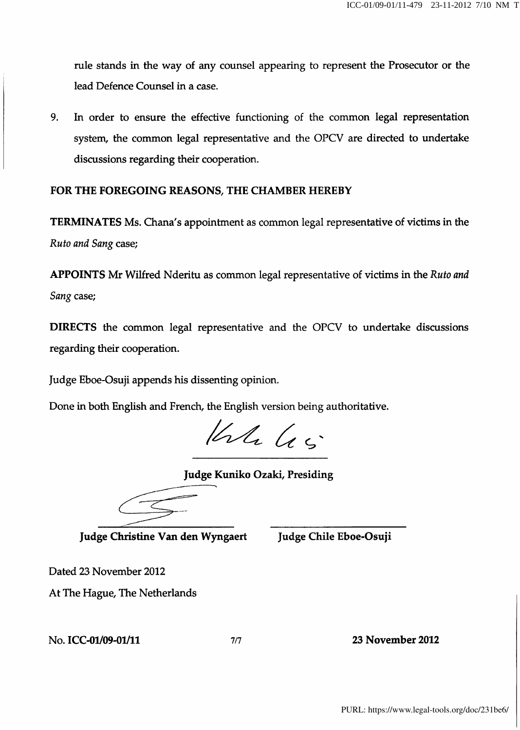rule stands in the way of any counsel appearing to represent the Prosecutor or the lead Defence Counsel in a case.

9. In order to ensure the effective functioning of the common legal representation system, the common legal representative and the OPCV are directed to undertake discussions regarding their cooperation.

# FOR THE FOREGOING REASONS, THE CHAMBER HEREBY

TERMINATES Ms. Ghana's appointment as common legal representative of victims in the Ruto and Sang case;

APPOINTS Mr Wilfred Nderitu as common legal representative of victims in the Ruto and Sang case;

DIRECTS the common legal representative and the OPCV to undertake discussions regarding their cooperation.

Judge Eboe-Osuji appends his dissenting opinion.

Done in both English and French, the English version being authoritative.

 $1444$ 

Judge Kuniko Ozaki, Presiding

Judge Christine Van den Wyngaert Judge Chile Eboe-Osuji

Dated 23 November 2012

At The Hague, The Netherlands

No. ICC-01/09-01/11 7/7 23 November 2012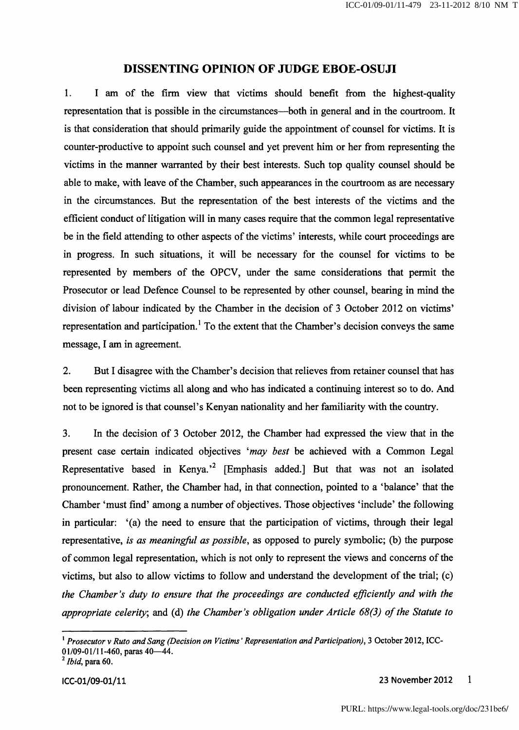## DISSENTING OPINION OF JUDGE EBOE-OSUJI

1. I am of the firm view that victims should benefit from the highest-quality representation that is possible in the circumstances—both in general and in the courtroom. It is that consideration that should primarily guide the appointment of counsel for victims. It is counter-productive to appoint such counsel and yet prevent him or her from representing the victims in the manner warranted by their best interests. Such top quality counsel should be able to make, with leave of the Chamber, such appearances in the courtroom as are necessary in the circumstances. But the representation of the best interests of the victims and the efficient conduct of litigation will in many cases require that the common legal representative be in the field attending to other aspects of the victims' interests, while court proceedings are in progress. In such situations, it will be necessary for the counsel for victims to be represented by members of the OPCV, under the same considerations that permit the Prosecutor or lead Defence Counsel to be represented by other counsel, bearing in mind the division of labour indicated by the Chamber in the decision of 3 October 2012 on victims' representation and participation.<sup>1</sup> To the extent that the Chamber's decision conveys the same message, I am in agreement.

2. But I disagree with the Chamber's decision that relieves from retainer counsel that has been representing victims all along and who has indicated a continuing interest so to do. And not to be ignored is that counsel's Kenyan nationality and her familiarity with the country.

3. In the decision of 3 October 2012, the Chamber had expressed the view that in the present case certain indicated objectives 'may best be achieved with a Common Legal Representative based in Kenya.<sup>2</sup> [Emphasis added.] But that was not an isolated pronouncement. Rather, the Chamber had, in that cormection, pointed to a 'balance' that the Chamber 'must find' among a number of objectives. Those objectives 'include' the following in particular: '(a) the need to ensure that the participation of victims, through their legal representative, is as meaningful as possible, as opposed to purely symbolic; (b) the purpose of common legal representation, which is not only to represent the views and concerns of the victims, but also to allow victims to follow and understand the development of the trial; (c) the Chamber's duty to ensure that the proceedings are conducted efficiently and with the appropriate celerity, and (d) the Chamber's obligation under Article 68(3) of the Statute to

 $^1$  Prosecutor v Ruto and Sang (Decision on Victims' Representation and Participation), 3 October 2012, ICC-01/09-01/11-460, paras  $40-44$ .

 $^2$  *Ibid*, para 60.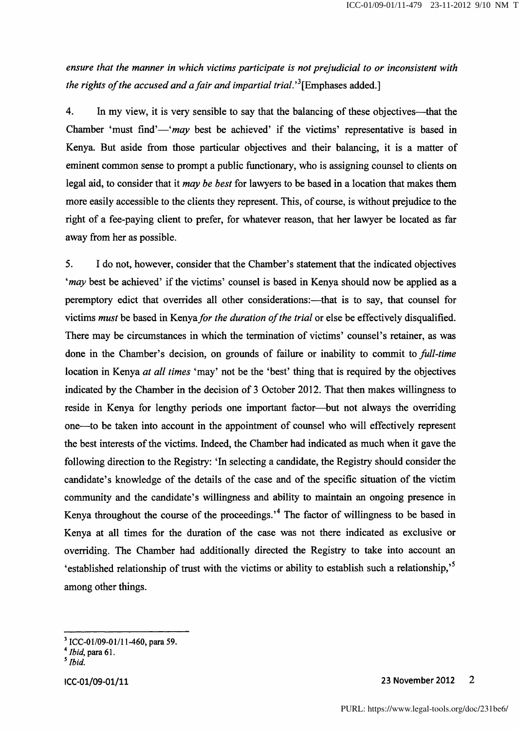ensure that the manner in which victims participate is not prejudicial to or inconsistent with the rights of the accused and a fair and impartial trial.<sup>3</sup> [Emphases added.]

4. In my view, it is very sensible to say that the balancing of these objectives—^that the Chamber 'must find'—'may best be achieved' if the victims' representative is based in Kenya. But aside from those particular objectives and their balancing, it is a matter of eminent common sense to prompt a public functionary, who is assigning counsel to clients on legal aid, to consider that it *may be best* for lawyers to be based in a location that makes them more easily accessible to the clients they represent. This, of course, is without prejudice to the right of a fee-paying client to prefer, for whatever reason, that her lawyer be located as far away from her as possible.

5. I do not, however, consider that the Chamber's statement that the indicated objectives 'may best be achieved' if the victims' counsel is based in Kenya should now be applied as a peremptory edict that overrides all other considerations:—^that is to say, that counsel for victims must be based in Kenya for the duration of the trial or else be effectively disqualified. There may be circumstances in which the termination of victims' counsel's retainer, as was done in the Chamber's decision, on grounds of failure or inability to commit to full-time location in Kenya at all times 'may' not be the 'best' thing that is required by the objectives indicated by the Chamber in the decision of 3 October 2012. That then makes willingness to reside in Kenya for lengthy periods one important factor—^but not always the overriding one—^to be taken into account in the appointment of counsel who will effectively represent the best interests of the victims. Indeed, the Chamber had indicated as much when it gave the following direction to the Registry: 'In selecting a candidate, the Registry should consider the candidate's knowledge of the details of the case and of the specific situation of the victim community and the candidate's willingness and ability to maintain an ongoing presence in Kenya throughout the course of the proceedings.<sup> $4$ </sup> The factor of willingness to be based in Kenya at all times for the duration of the case was not there indicated as exclusive or overriding. The Chamber had additionally directed the Registry to take into account an 'established relationship of trust with the victims or ability to establish such a relationship,'^ among other things.

ICC-01/09-01/11 23 November 2012  $\overline{2}$ 

 $^3$  ICC-01/09-01/11-460, para 59.

 $^4$  *Ibid*, para 61.

<sup>&#</sup>x27;Ibid.